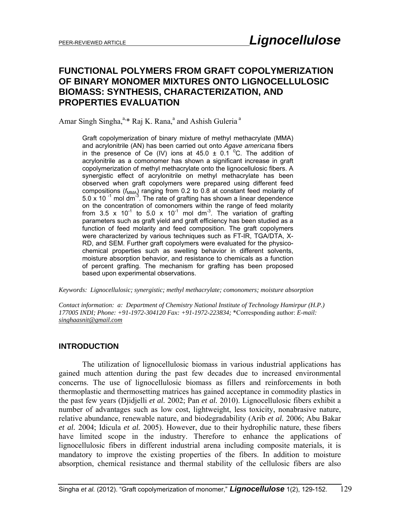# **FUNCTIONAL POLYMERS FROM GRAFT COPOLYMERIZATION OF BINARY MONOMER MIXTURES ONTO LIGNOCELLULOSIC BIOMASS: SYNTHESIS, CHARACTERIZATION, AND PROPERTIES EVALUATION**

Amar Singh Singha,<sup>a,\*</sup> Raj K. Rana,<sup>a</sup> and Ashish Guleria<sup>a</sup>

Graft copolymerization of binary mixture of methyl methacrylate (MMA) and acrylonitrile (AN) has been carried out onto *Agave americana* fibers in the presence of Ce (IV) ions at 45.0  $\pm$  0.1 <sup>o</sup>C. The addition of acrylonitrile as a comonomer has shown a significant increase in graft copolymerization of methyl methacrylate onto the lignocellulosic fibers. A synergistic effect of acrylonitrile on methyl methacrylate has been observed when graft copolymers were prepared using different feed compositions ( $f_{MMA}$ ) ranging from 0.2 to 0.8 at constant feed molarity of 5.0 x 10 $^{-1}$  mol dm<sup>-3</sup>. The rate of grafting has shown a linear dependence on the concentration of comonomers within the range of feed molarity from 3.5 x  $10^{-1}$  to 5.0 x  $10^{-1}$  mol dm<sup>-3</sup>. The variation of grafting parameters such as graft yield and graft efficiency has been studied as a function of feed molarity and feed composition. The graft copolymers were characterized by various techniques such as FT-IR, TGA/DTA, X-RD, and SEM. Further graft copolymers were evaluated for the physicochemical properties such as swelling behavior in different solvents, moisture absorption behavior, and resistance to chemicals as a function of percent grafting. The mechanism for grafting has been proposed based upon experimental observations.

*Keywords: Lignocellulosic; synergistic; methyl methacrylate; comonomers; moisture absorption* 

*Contact information: a: Department of Chemistry National Institute of Technology Hamirpur (H.P.) 177005 INDI; Phone: +91-1972-304120 Fax: +91-1972-223834;* \*Corresponding author: *E-mail: singhaasnit@gmail.com* 

## **INTRODUCTION**

 The utilization of lignocellulosic biomass in various industrial applications has gained much attention during the past few decades due to increased environmental concerns. The use of lignocellulosic biomass as fillers and reinforcements in both thermoplastic and thermosetting matrices has gained acceptance in commodity plastics in the past few years (Djidjelli *et al.* 2002; Pan *et al.* 2010). Lignocellulosic fibers exhibit a number of advantages such as low cost, lightweight, less toxicity, nonabrasive nature, relative abundance, renewable nature, and biodegradability (Arib *et al.* 2006; Abu Bakar *et al.* 2004; Idicula *et al.* 2005). However, due to their hydrophilic nature, these fibers have limited scope in the industry. Therefore to enhance the applications of lignocellulosic fibers in different industrial arena including composite materials, it is mandatory to improve the existing properties of the fibers. In addition to moisture absorption, chemical resistance and thermal stability of the cellulosic fibers are also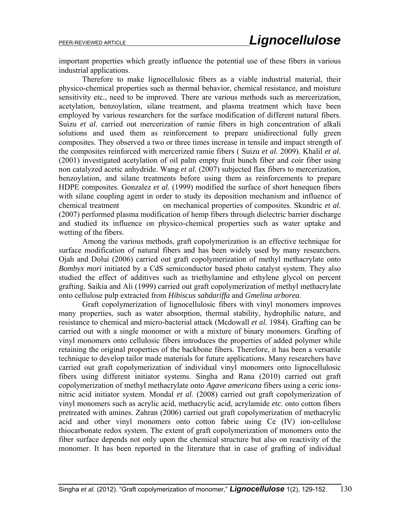important properties which greatly influence the potential use of these fibers in various industrial applications.

Therefore to make lignocellulosic fibers as a viable industrial material, their physico-chemical properties such as thermal behavior, chemical resistance, and moisture sensitivity etc., need to be improved. There are various methods such as mercerization, acetylation, benzoylation, silane treatment, and plasma treatment which have been employed by various researchers for the surface modification of different natural fibers. Suizu *et al.* carried out mercerization of ramie fibers in high concentration of alkali solutions and used them as reinforcement to prepare unidirectional fully green composites. They observed a two or three times increase in tensile and impact strength of the composites reinforced with mercerized ramie fibers ( Suizu *et al.* 2009). Khalil *et al.* (2001) investigated acetylation of oil palm empty fruit bunch fiber and coir fiber using non catalyzed acetic anhydride. Wang *et al.* (2007) subjected flax fibers to mercerization, benzoylation, and silane treatments before using them as reinforcements to prepare HDPE composites. Gonzalez *et al.* (1999) modified the surface of short henequen fibers with silane coupling agent in order to study its deposition mechanism and influence of chemical treatment on mechanical properties of composites. Skundric *et al.* (2007) performed plasma modification of hemp fibers through dielectric barrier discharge and studied its influence on physico-chemical properties such as water uptake and wetting of the fibers.

Among the various methods, graft copolymerization is an effective technique for surface modification of natural fibers and has been widely used by many researchers. Ojah and Dolui (2006) carried out graft copolymerization of methyl methacrylate onto *Bombyx mori* initiated by a CdS semiconductor based photo catalyst system. They also studied the effect of additives such as triethylamine and ethylene glycol on percent grafting. Saikia and Ali (1999) carried out graft copolymerization of methyl methacrylate onto cellulose pulp extracted from *Hibiscus sabdariffa* and *Gmelina arborea*.

 Graft copolymerization of lignocellulosic fibers with vinyl monomers improves many properties, such as water absorption, thermal stability, hydrophilic nature, and resistance to chemical and micro-bacterial attack (Mcdowall *et al.* 1984). Grafting can be carried out with a single monomer or with a mixture of binary monomers. Grafting of vinyl monomers onto cellulosic fibers introduces the properties of added polymer while retaining the original properties of the backbone fibers. Therefore, it has been a versatile technique to develop tailor made materials for future applications. Many researchers have carried out graft copolymerization of individual vinyl monomers onto lignocellulosic fibers using different initiator systems. Singha and Rana (2010) carried out graft copolymerization of methyl methacrylate onto *Agave americana* fibers using a ceric ionsnitric acid initiator system. Mondal *et al.* (2008) carried out graft copolymerization of vinyl monomers such as acrylic acid, methacrylic acid, acrylamide *etc.* onto cotton fibers pretreated with amines. Zahran (2006) carried out graft copolymerization of methacrylic acid and other vinyl monomers onto cotton fabric using Ce (IV) ion-cellulose thiocarbonate redox system. The extent of graft copolymerization of monomers onto the fiber surface depends not only upon the chemical structure but also on reactivity of the monomer. It has been reported in the literature that in case of grafting of individual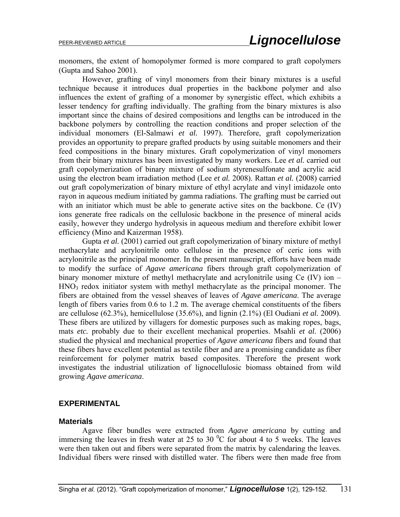monomers, the extent of homopolymer formed is more compared to graft copolymers (Gupta and Sahoo 2001).

 However, grafting of vinyl monomers from their binary mixtures is a useful technique because it introduces dual properties in the backbone polymer and also influences the extent of grafting of a monomer by synergistic effect, which exhibits a lesser tendency for grafting individually. The grafting from the binary mixtures is also important since the chains of desired compositions and lengths can be introduced in the backbone polymers by controlling the reaction conditions and proper selection of the individual monomers (El-Salmawi *et al.* 1997). Therefore, graft copolymerization provides an opportunity to prepare grafted products by using suitable monomers and their feed compositions in the binary mixtures. Graft copolymerization of vinyl monomers from their binary mixtures has been investigated by many workers. Lee *et al.* carried out graft copolymerization of binary mixture of sodium styrenesulfonate and acrylic acid using the electron beam irradiation method (Lee *et al.* 2008). Rattan *et al.* (2008) carried out graft copolymerization of binary mixture of ethyl acrylate and vinyl imidazole onto rayon in aqueous medium initiated by gamma radiations. The grafting must be carried out with an initiator which must be able to generate active sites on the backbone. Ce (IV) ions generate free radicals on the cellulosic backbone in the presence of mineral acids easily, however they undergo hydrolysis in aqueous medium and therefore exhibit lower efficiency (Mino and Kaizerman 1958).

 Gupta *et al.* (2001) carried out graft copolymerization of binary mixture of methyl methacrylate and acrylonitrile onto cellulose in the presence of ceric ions with acrylonitrile as the principal monomer. In the present manuscript, efforts have been made to modify the surface of *Agave americana* fibers through graft copolymerization of binary monomer mixture of methyl methacrylate and acrylonitrile using Ce (IV) ion –  $HNO<sub>3</sub>$  redox initiator system with methyl methacrylate as the principal monomer. The fibers are obtained from the vessel sheaves of leaves of *Agave americana*. The average length of fibers varies from 0.6 to 1.2 m. The average chemical constituents of the fibers are cellulose (62.3%), hemicellulose (35.6%), and lignin (2.1%) (El Oudiani *et al.* 2009). These fibers are utilized by villagers for domestic purposes such as making ropes, bags, mats *etc.* probably due to their excellent mechanical properties. Msahli *et al.* (2006) studied the physical and mechanical properties of *Agave americana* fibers and found that these fibers have excellent potential as textile fiber and are a promising candidate as fiber reinforcement for polymer matrix based composites. Therefore the present work investigates the industrial utilization of lignocellulosic biomass obtained from wild growing *Agave americana*.

### **EXPERIMENTAL**

### **Materials**

 Agave fiber bundles were extracted from *Agave americana* by cutting and immersing the leaves in fresh water at 25 to 30  $\mathrm{^0C}$  for about 4 to 5 weeks. The leaves were then taken out and fibers were separated from the matrix by calendaring the leaves. Individual fibers were rinsed with distilled water. The fibers were then made free from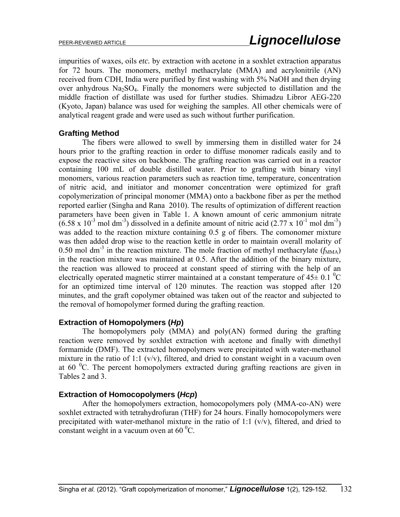impurities of waxes, oils *etc.* by extraction with acetone in a soxhlet extraction apparatus for 72 hours. The monomers, methyl methacrylate (MMA) and acrylonitrile (AN) received from CDH, India were purified by first washing with 5% NaOH and then drying over anhydrous  $Na<sub>2</sub>SO<sub>4</sub>$ . Finally the monomers were subjected to distillation and the middle fraction of distillate was used for further studies. Shimadzu Libror AEG-220 (Kyoto, Japan) balance was used for weighing the samples. All other chemicals were of analytical reagent grade and were used as such without further purification.

## **Grafting Method**

The fibers were allowed to swell by immersing them in distilled water for 24 hours prior to the grafting reaction in order to diffuse monomer radicals easily and to expose the reactive sites on backbone. The grafting reaction was carried out in a reactor containing 100 mL of double distilled water. Prior to grafting with binary vinyl monomers, various reaction parameters such as reaction time, temperature, concentration of nitric acid, and initiator and monomer concentration were optimized for graft copolymerization of principal monomer (MMA) onto a backbone fiber as per the method reported earlier (Singha and Rana 2010). The results of optimization of different reaction parameters have been given in Table 1. A known amount of ceric ammonium nitrate  $(6.58 \times 10^{-3} \text{ mol dm}^3)$  dissolved in a definite amount of nitric acid (2.77 x 10<sup>-1</sup> mol dm<sup>-3</sup>) was added to the reaction mixture containing 0.5 g of fibers. The comonomer mixture was then added drop wise to the reaction kettle in order to maintain overall molarity of 0.50 mol dm<sup>-3</sup> in the reaction mixture. The mole fraction of methyl methacrylate  $(f_{\text{MMA}})$ in the reaction mixture was maintained at 0.5. After the addition of the binary mixture, the reaction was allowed to proceed at constant speed of stirring with the help of an electrically operated magnetic stirrer maintained at a constant temperature of  $45\pm0.1$  <sup>0</sup>C for an optimized time interval of 120 minutes. The reaction was stopped after 120 minutes, and the graft copolymer obtained was taken out of the reactor and subjected to the removal of homopolymer formed during the grafting reaction.

## **Extraction of Homopolymers (***Hp***)**

The homopolymers poly (MMA) and poly(AN) formed during the grafting reaction were removed by soxhlet extraction with acetone and finally with dimethyl formamide (DMF). The extracted homopolymers were precipitated with water-methanol mixture in the ratio of 1:1  $(v/v)$ , filtered, and dried to constant weight in a vacuum oven at  $60<sup>o</sup>C$ . The percent homopolymers extracted during grafting reactions are given in Tables 2 and 3.

## **Extraction of Homocopolymers (***Hcp***)**

After the homopolymers extraction, homocopolymers poly (MMA-co-AN) were soxhlet extracted with tetrahydrofuran (THF) for 24 hours. Finally homocopolymers were precipitated with water-methanol mixture in the ratio of 1:1  $(v/v)$ , filtered, and dried to constant weight in a vacuum oven at  $60<sup>0</sup>C$ .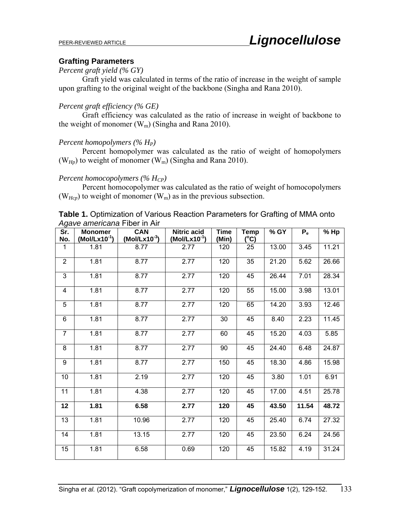## **Grafting Parameters**

#### *Percent graft yield (% GY)*

Graft yield was calculated in terms of the ratio of increase in the weight of sample upon grafting to the original weight of the backbone (Singha and Rana 2010).

## *Percent graft efficiency (% GE)*

Graft efficiency was calculated as the ratio of increase in weight of backbone to the weight of monomer  $(W_m)$  (Singha and Rana 2010).

## *Percent homopolymers (% HP)*

Percent homopolymer was calculated as the ratio of weight of homopolymers ( $W_{H_p}$ ) to weight of monomer ( $W_m$ ) (Singha and Rana 2010).

## *Percent homocopolymers (% H<sub>CP</sub>)*

Percent homocopolymer was calculated as the ratio of weight of homocopolymers ( $W_{Hcp}$ ) to weight of monomer ( $W_m$ ) as in the previous subsection.

| <b>Table 1.</b> Optimization of Various Reaction Parameters for Grafting of MMA onto |  |
|--------------------------------------------------------------------------------------|--|
| Agave americana Fiber in Air                                                         |  |

| Sr.            | <b>Monomer</b>    | <b>CAN</b>        | <b>Nitric acid</b> | <b>Time</b> | <b>Temp</b>   | % GY  | $P_{e}$ | % Hp  |
|----------------|-------------------|-------------------|--------------------|-------------|---------------|-------|---------|-------|
| No.            | $(Mol/Lx10^{-1})$ | $(Mol/Lx10^{-3})$ | $(Mol/Lx10^{-1})$  | (Min)       | $(^{\circ}C)$ |       |         |       |
| 1              | 1.81              | 8.77              | 2.77               | 120         | 25            | 13.00 | 3.45    | 11.21 |
| $\overline{2}$ | 1.81              | 8.77              | 2.77               | 120         | 35            | 21.20 | 5.62    | 26.66 |
| 3              | 1.81              | 8.77              | 2.77               | 120         | 45            | 26.44 | 7.01    | 28.34 |
| $\overline{4}$ | 1.81              | 8.77              | 2.77               | 120         | 55            | 15.00 | 3.98    | 13.01 |
| 5              | 1.81              | 8.77              | 2.77               | 120         | 65            | 14.20 | 3.93    | 12.46 |
| 6              | 1.81              | 8.77              | 2.77               | 30          | 45            | 8.40  | 2.23    | 11.45 |
| $\overline{7}$ | 1.81              | 8.77              | 2.77               | 60          | 45            | 15.20 | 4.03    | 5.85  |
| 8              | 1.81              | 8.77              | 2.77               | 90          | 45            | 24.40 | 6.48    | 24.87 |
| 9              | 1.81              | 8.77              | 2.77               | 150         | 45            | 18.30 | 4.86    | 15.98 |
| 10             | 1.81              | 2.19              | 2.77               | 120         | 45            | 3.80  | 1.01    | 6.91  |
| 11             | 1.81              | 4.38              | 2.77               | 120         | 45            | 17.00 | 4.51    | 25.78 |
| 12             | 1.81              | 6.58              | 2.77               | 120         | 45            | 43.50 | 11.54   | 48.72 |
| 13             | 1.81              | 10.96             | 2.77               | 120         | 45            | 25.40 | 6.74    | 27.32 |
| 14             | 1.81              | 13.15             | 2.77               | 120         | 45            | 23.50 | 6.24    | 24.56 |
| 15             | 1.81              | 6.58              | 0.69               | 120         | 45            | 15.82 | 4.19    | 31.24 |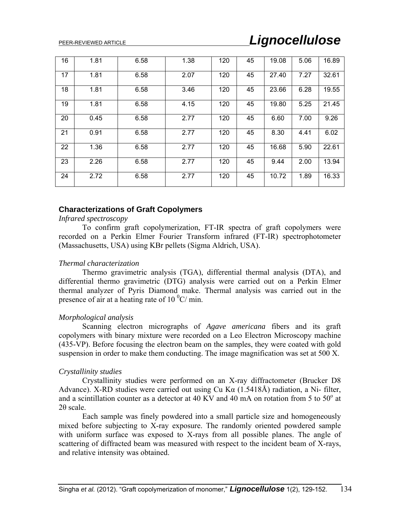| 16 | 1.81 | 6.58 | 1.38 | 120 | 45 | 19.08 | 5.06 | 16.89 |
|----|------|------|------|-----|----|-------|------|-------|
| 17 | 1.81 | 6.58 | 2.07 | 120 | 45 | 27.40 | 7.27 | 32.61 |
| 18 | 1.81 | 6.58 | 3.46 | 120 | 45 | 23.66 | 6.28 | 19.55 |
| 19 | 1.81 | 6.58 | 4.15 | 120 | 45 | 19.80 | 5.25 | 21.45 |
| 20 | 0.45 | 6.58 | 2.77 | 120 | 45 | 6.60  | 7.00 | 9.26  |
| 21 | 0.91 | 6.58 | 2.77 | 120 | 45 | 8.30  | 4.41 | 6.02  |
| 22 | 1.36 | 6.58 | 2.77 | 120 | 45 | 16.68 | 5.90 | 22.61 |
| 23 | 2.26 | 6.58 | 2.77 | 120 | 45 | 9.44  | 2.00 | 13.94 |
| 24 | 2.72 | 6.58 | 2.77 | 120 | 45 | 10.72 | 1.89 | 16.33 |

### **Characterizations of Graft Copolymers**

#### *Infrared spectroscopy*

To confirm graft copolymerization, FT-IR spectra of graft copolymers were recorded on a Perkin Elmer Fourier Transform infrared (FT-IR) spectrophotometer (Massachusetts, USA) using KBr pellets (Sigma Aldrich, USA).

#### *Thermal characterization*

Thermo gravimetric analysis (TGA), differential thermal analysis (DTA), and differential thermo gravimetric (DTG) analysis were carried out on a Perkin Elmer thermal analyzer of Pyris Diamond make. Thermal analysis was carried out in the presence of air at a heating rate of 10 $\mathrm{^{0}C/m}$ in.

#### *Morphological analysis*

Scanning electron micrographs of *Agave americana* fibers and its graft copolymers with binary mixture were recorded on a Leo Electron Microscopy machine (435-VP). Before focusing the electron beam on the samples, they were coated with gold suspension in order to make them conducting. The image magnification was set at 500 X.

#### *Crystallinity studies*

Crystallinity studies were performed on an X-ray diffractometer (Brucker D8 Advance). X-RD studies were carried out using Cu Kα (1.5418Å) radiation, a Ni- filter, and a scintillation counter as a detector at 40 KV and 40 mA on rotation from 5 to  $50^{\circ}$  at  $2\theta$  scale.

Each sample was finely powdered into a small particle size and homogeneously mixed before subjecting to X-ray exposure. The randomly oriented powdered sample with uniform surface was exposed to X-rays from all possible planes. The angle of scattering of diffracted beam was measured with respect to the incident beam of X-rays, and relative intensity was obtained.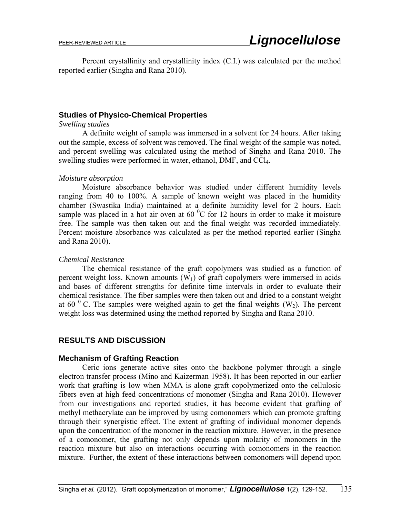Percent crystallinity and crystallinity index (C.I.) was calculated per the method reported earlier (Singha and Rana 2010).

## **Studies of Physico-Chemical Properties**

#### *Swelling studies*

A definite weight of sample was immersed in a solvent for 24 hours. After taking out the sample, excess of solvent was removed. The final weight of the sample was noted, and percent swelling was calculated using the method of Singha and Rana 2010. The swelling studies were performed in water, ethanol, DMF, and CCl4.

#### *Moisture absorption*

Moisture absorbance behavior was studied under different humidity levels ranging from 40 to 100%. A sample of known weight was placed in the humidity chamber (Swastika India) maintained at a definite humidity level for 2 hours. Each sample was placed in a hot air oven at 60 $\mathrm{^{0}C}$  for 12 hours in order to make it moisture free. The sample was then taken out and the final weight was recorded immediately. Percent moisture absorbance was calculated as per the method reported earlier (Singha and Rana 2010).

#### *Chemical Resistance*

The chemical resistance of the graft copolymers was studied as a function of percent weight loss. Known amounts  $(W_1)$  of graft copolymers were immersed in acids and bases of different strengths for definite time intervals in order to evaluate their chemical resistance. The fiber samples were then taken out and dried to a constant weight at 60  $^{0}$  C. The samples were weighed again to get the final weights (W<sub>2</sub>). The percent weight loss was determined using the method reported by Singha and Rana 2010.

## **RESULTS AND DISCUSSION**

#### **Mechanism of Grafting Reaction**

Ceric ions generate active sites onto the backbone polymer through a single electron transfer process (Mino and Kaizerman 1958). It has been reported in our earlier work that grafting is low when MMA is alone graft copolymerized onto the cellulosic fibers even at high feed concentrations of monomer (Singha and Rana 2010). However from our investigations and reported studies, it has become evident that grafting of methyl methacrylate can be improved by using comonomers which can promote grafting through their synergistic effect. The extent of grafting of individual monomer depends upon the concentration of the monomer in the reaction mixture. However, in the presence of a comonomer, the grafting not only depends upon molarity of monomers in the reaction mixture but also on interactions occurring with comonomers in the reaction mixture. Further, the extent of these interactions between comonomers will depend upon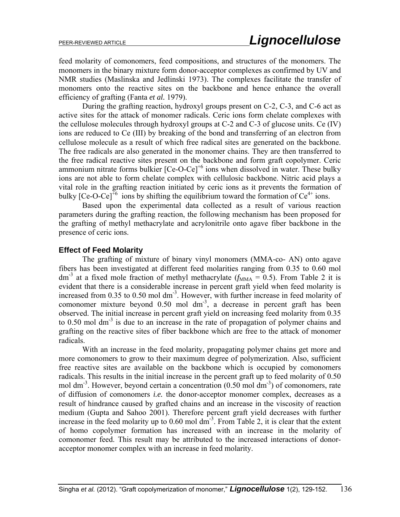feed molarity of comonomers, feed compositions, and structures of the monomers. The monomers in the binary mixture form donor-acceptor complexes as confirmed by UV and NMR studies (Maslinska and Jedlinski 1973). The complexes facilitate the transfer of monomers onto the reactive sites on the backbone and hence enhance the overall efficiency of grafting (Fanta *et al.* 1979).

During the grafting reaction, hydroxyl groups present on C-2, C-3, and C-6 act as active sites for the attack of monomer radicals. Ceric ions form chelate complexes with the cellulose molecules through hydroxyl groups at C-2 and C-3 of glucose units. Ce (IV) ions are reduced to Ce (III) by breaking of the bond and transferring of an electron from cellulose molecule as a result of which free radical sites are generated on the backbone. The free radicals are also generated in the monomer chains. They are then transferred to the free radical reactive sites present on the backbone and form graft copolymer. Ceric ammonium nitrate forms bulkier  $[Ce-O-Ce]^{+6}$  ions when dissolved in water. These bulky ions are not able to form chelate complex with cellulosic backbone. Nitric acid plays a vital role in the grafting reaction initiated by ceric ions as it prevents the formation of bulky  $[Ce-O-Ce]^{+6}$  ions by shifting the equilibrium toward the formation of  $Ce^{4+}$  ions.

Based upon the experimental data collected as a result of various reaction parameters during the grafting reaction, the following mechanism has been proposed for the grafting of methyl methacrylate and acrylonitrile onto agave fiber backbone in the presence of ceric ions.

#### **Effect of Feed Molarity**

The grafting of mixture of binary vinyl monomers (MMA-co- AN) onto agave fibers has been investigated at different feed molarities ranging from 0.35 to 0.60 mol dm<sup>-3</sup> at a fixed mole fraction of methyl methacrylate ( $f_{\text{MMA}} = 0.5$ ). From Table 2 it is evident that there is a considerable increase in percent graft yield when feed molarity is increased from 0.35 to 0.50 mol dm<sup>-3</sup>. However, with further increase in feed molarity of comonomer mixture beyond  $0.50$  mol dm<sup>-3</sup>, a decrease in percent graft has been observed. The initial increase in percent graft yield on increasing feed molarity from 0.35 to 0.50 mol dm<sup>-3</sup> is due to an increase in the rate of propagation of polymer chains and grafting on the reactive sites of fiber backbone which are free to the attack of monomer radicals.

With an increase in the feed molarity, propagating polymer chains get more and more comonomers to grow to their maximum degree of polymerization. Also, sufficient free reactive sites are available on the backbone which is occupied by comonomers radicals. This results in the initial increase in the percent graft up to feed molarity of 0.50 mol dm<sup>-3</sup>. However, beyond certain a concentration  $(0.50 \text{ mol dm}^{-3})$  of comonomers, rate of diffusion of comonomers *i.e.* the donor-acceptor monomer complex, decreases as a result of hindrance caused by grafted chains and an increase in the viscosity of reaction medium (Gupta and Sahoo 2001). Therefore percent graft yield decreases with further increase in the feed molarity up to  $0.60$  mol dm<sup>-3</sup>. From Table 2, it is clear that the extent of homo copolymer formation has increased with an increase in the molarity of comonomer feed. This result may be attributed to the increased interactions of donoracceptor monomer complex with an increase in feed molarity.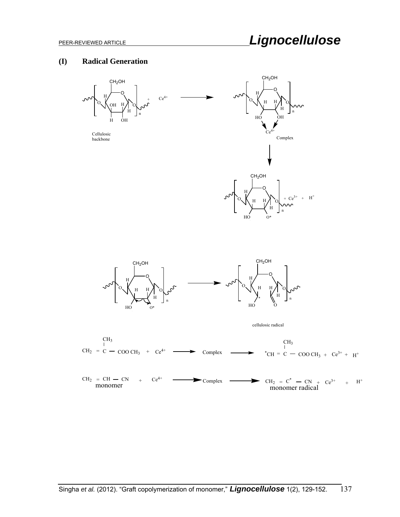#### **(I) Radical Generation**



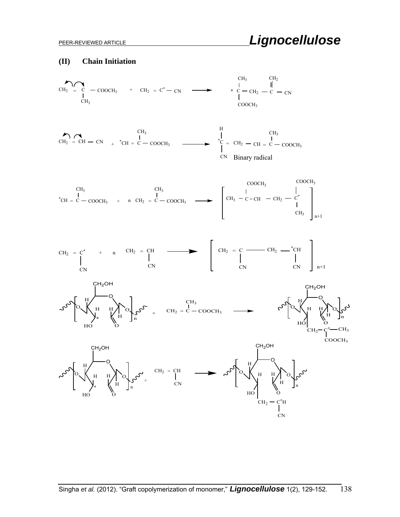#### **(II) Chain Initiation**

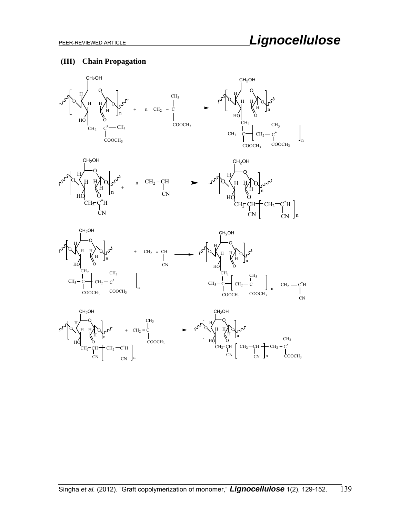## **(III) Chain Propagation**

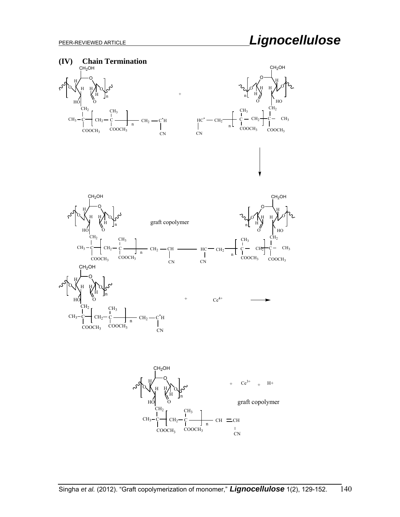







+

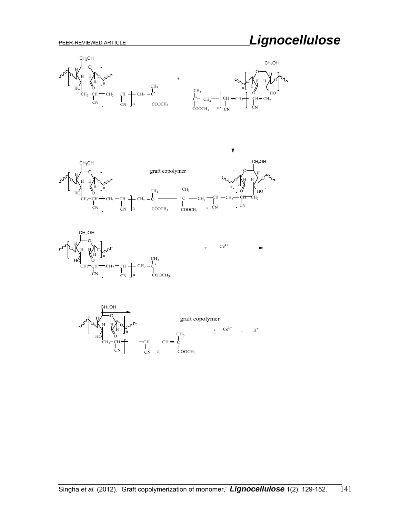# PEER-REVIEWED ARTICLE *Lignocellulose*

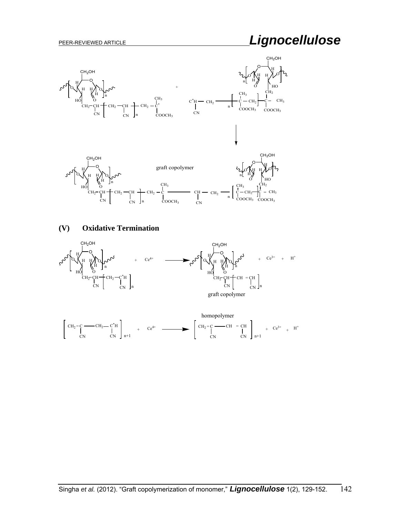# PEER-REVIEWED ARTICLE *Lignocellulose*



## **(V) Oxidative Termination**

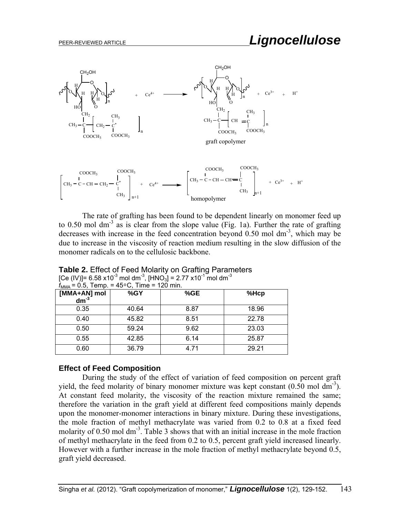

The rate of grafting has been found to be dependent linearly on monomer feed up to 0.50 mol dm<sup>-3</sup> as is clear from the slope value (Fig. 1a). Further the rate of grafting decreases with increase in the feed concentration beyond  $0.50$  mol dm<sup>-3</sup>, which may be due to increase in the viscosity of reaction medium resulting in the slow diffusion of the monomer radicals on to the cellulosic backbone.

| $I_{\text{MMA}}$ – 0.5, Temp. – 45°C, Time – TZ0 min. |       |      |       |  |  |  |  |
|-------------------------------------------------------|-------|------|-------|--|--|--|--|
| $[MMA+AN]$ moldm <sup>-3</sup>                        | %GY   | %GE  | %Hcp  |  |  |  |  |
| 0.35                                                  | 40.64 | 8.87 | 18.96 |  |  |  |  |
| 0.40                                                  | 45.82 | 8.51 | 22.78 |  |  |  |  |
| 0.50                                                  | 59.24 | 9.62 | 23.03 |  |  |  |  |
| 0.55                                                  | 42.85 | 6.14 | 25.87 |  |  |  |  |
| 0.60                                                  | 36.79 | 4.71 | 29.21 |  |  |  |  |

[Ce (IV)]= 6.58 x10<sup>-3</sup> mol dm<sup>-3</sup>, [HNO<sub>3</sub>] = 2.77 x10<sup>-1</sup> mol dm<sup>-3</sup>  $f \circ f$  Tomp = 450C, Time = 120 min.

**Table 2.** Effect of Feed Molarity on Grafting Parameters

#### **Effect of Feed Composition**

During the study of the effect of variation of feed composition on percent graft yield, the feed molarity of binary monomer mixture was kept constant  $(0.50 \text{ mol dm}^3)$ . At constant feed molarity, the viscosity of the reaction mixture remained the same; therefore the variation in the graft yield at different feed compositions mainly depends upon the monomer-monomer interactions in binary mixture. During these investigations, the mole fraction of methyl methacrylate was varied from 0.2 to 0.8 at a fixed feed molarity of 0.50 mol dm<sup>-3</sup>. Table 3 shows that with an initial increase in the mole fraction of methyl methacrylate in the feed from 0.2 to 0.5, percent graft yield increased linearly. However with a further increase in the mole fraction of methyl methacrylate beyond 0.5, graft yield decreased.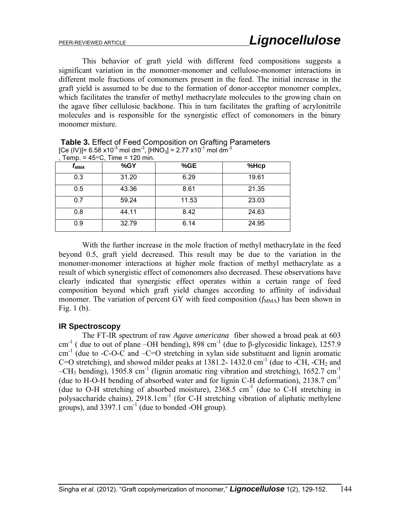This behavior of graft yield with different feed compositions suggests a significant variation in the monomer-monomer and cellulose-monomer interactions in different mole fractions of comonomers present in the feed. The initial increase in the graft yield is assumed to be due to the formation of donor-acceptor monomer complex, which facilitates the transfer of methyl methacrylate molecules to the growing chain on the agave fiber cellulosic backbone. This in turn facilitates the grafting of acrylonitrile molecules and is responsible for the synergistic effect of comonomers in the binary monomer mixture.

| Temp. = $45^{\circ}$ C, Time = 120 min. |       |       |       |  |  |  |  |
|-----------------------------------------|-------|-------|-------|--|--|--|--|
| t <sub>mma</sub>                        | %GY   | %GE   | %Hcp  |  |  |  |  |
| 0.3                                     | 31.20 | 6.29  | 19.61 |  |  |  |  |
| 0.5                                     | 43.36 | 8.61  | 21.35 |  |  |  |  |
| 0.7                                     | 59.24 | 11.53 | 23.03 |  |  |  |  |
| 0.8                                     | 44.11 | 8.42  | 24.63 |  |  |  |  |
| 0.9                                     | 32.79 | 6.14  | 24.95 |  |  |  |  |

**Table 3.** Effect of Feed Composition on Grafting Parameters [Ce (IV)]= 6.58 x10 $^3$  mol dm $^3$ , [HNO $_3$ ] = 2.77 x10 $^{\text{-1}}$  mol dm $^{\text{-3}}$ 

With the further increase in the mole fraction of methyl methacrylate in the feed beyond 0.5, graft yield decreased. This result may be due to the variation in the monomer-monomer interactions at higher mole fraction of methyl methacrylate as a result of which synergistic effect of comonomers also decreased. These observations have clearly indicated that synergistic effect operates within a certain range of feed composition beyond which graft yield changes according to affinity of individual monomer. The variation of percent GY with feed composition  $(f_{MMA})$  has been shown in Fig. 1 (b).

## **IR Spectroscopy**

The FT-IR spectrum of raw *Agave americana* fiber showed a broad peak at 603 cm<sup>-1</sup> ( due to out of plane –OH bending), 898 cm<sup>-1</sup> (due to  $\beta$ -glycosidic linkage), 1257.9  $cm<sup>-1</sup>$  (due to -C-O-C and -C=O stretching in xylan side substituent and lignin aromatic C=O stretching), and showed milder peaks at  $1381.2 - 1432.0$  cm<sup>-1</sup> (due to -CH, -CH<sub>2</sub> and –CH<sub>3</sub> bending), 1505.8 cm<sup>-1</sup> (lignin aromatic ring vibration and stretching), 1652.7 cm<sup>-1</sup> (due to H-O-H bending of absorbed water and for lignin C-H deformation),  $2138.7 \text{ cm}^{-1}$ (due to O-H stretching of absorbed moisture),  $2368.5$  cm<sup>-1</sup> (due to C-H stretching in polysaccharide chains), 2918.1cm<sup>-1</sup> (for C-H stretching vibration of aliphatic methylene groups), and  $3397.1 \text{ cm}^{-1}$  (due to bonded -OH group).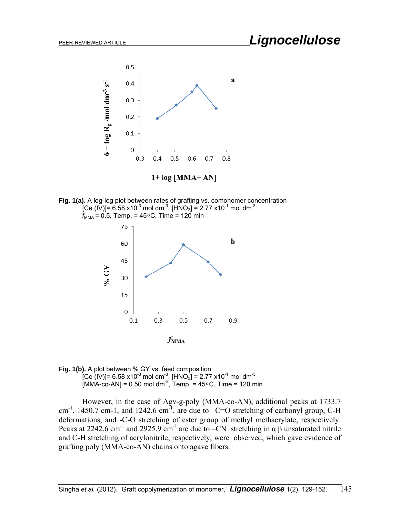

 $1+ log [MMA+AN]$ 

**Fig. 1(a).** A log-log plot between rates of grafting vs. comonomer concentration [Ce (IV)]= 6.58 x10<sup>-3</sup> mol dm<sup>-3</sup>, [HNO<sub>3</sub>] = 2.77 x10<sup>-1</sup> mol dm<sup>-3</sup>  $f_{\text{MMA}} = 0.5$ , Temp. = 45 $\degree$ C, Time = 120 min



**Fig. 1(b).** A plot between % GY vs. feed composition  $[\mathsf{Ce}\ (\mathsf{IV})]$ = 6.58 x10 $^{-3}$  mol dm $^{-3}$ , [HNO $_3$ ] = 2.77 x10 $^{-1}$  mol dm $^{-3}$  $[MMA-co-AN] = 0.50 \text{ mol dm}^3$ , Temp. = 45°C, Time = 120 min

However, in the case of Agv-g-poly (MMA-co-AN), additional peaks at 1733.7 cm<sup>-1</sup>, 1450.7 cm-1, and 1242.6 cm<sup>-1</sup>, are due to  $-C=O$  stretching of carbonyl group, C-H deformations, and -C-O stretching of ester group of methyl methacrylate, respectively. Peaks at 2242.6 cm<sup>-1</sup> and 2925.9 cm<sup>-1</sup> are due to –CN stretching in  $\alpha \beta$  unsaturated nitrile and C-H stretching of acrylonitrile, respectively, were observed, which gave evidence of grafting poly (MMA-co-AN) chains onto agave fibers.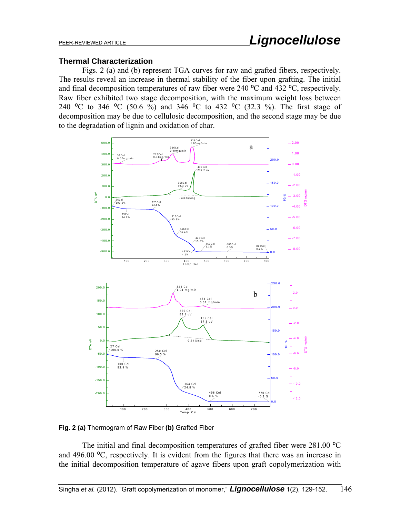#### **Thermal Characterization**

Figs. 2 (a) and (b) represent TGA curves for raw and grafted fibers, respectively. The results reveal an increase in thermal stability of the fiber upon grafting. The initial and final decomposition temperatures of raw fiber were 240  $^{\circ}$ C and 432  $^{\circ}$ C, respectively. Raw fiber exhibited two stage decomposition, with the maximum weight loss between 240 °C to 346 °C (50.6 %) and 346 °C to 432 °C (32.3 %). The first stage of decomposition may be due to cellulosic decomposition, and the second stage may be due to the degradation of lignin and oxidation of char.



**Fig. 2 (a)** Thermogram of Raw Fiber **(b)** Grafted Fiber

The initial and final decomposition temperatures of grafted fiber were  $281.00 \degree$ C and  $496.00 \degree C$ , respectively. It is evident from the figures that there was an increase in the initial decomposition temperature of agave fibers upon graft copolymerization with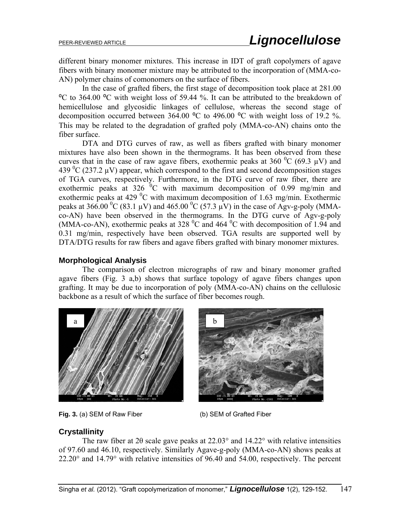different binary monomer mixtures. This increase in IDT of graft copolymers of agave fibers with binary monomer mixture may be attributed to the incorporation of (MMA-co-AN) polymer chains of comonomers on the surface of fibers.

In the case of grafted fibers, the first stage of decomposition took place at 281.00 <sup>o</sup>C to 364.00 <sup>o</sup>C with weight loss of 59.44 %. It can be attributed to the breakdown of hemicellulose and glycosidic linkages of cellulose, whereas the second stage of decomposition occurred between 364.00  $^{\circ}$ C to 496.00  $^{\circ}$ C with weight loss of 19.2 %. This may be related to the degradation of grafted poly (MMA-co-AN) chains onto the fiber surface.

DTA and DTG curves of raw, as well as fibers grafted with binary monomer mixtures have also been shown in the thermograms. It has been observed from these curves that in the case of raw agave fibers, exothermic peaks at 360  $^0C$  (69.3 µV) and 439  ${}^{0}C$  (237.2 µV) appear, which correspond to the first and second decomposition stages of TGA curves, respectively. Furthermore, in the DTG curve of raw fiber, there are exothermic peaks at 326  $^{0}$ C with maximum decomposition of 0.99 mg/min and exothermic peaks at 429  $\rm{^0C}$  with maximum decomposition of 1.63 mg/min. Exothermic peaks at 366.00 <sup>0</sup>C (83.1 µV) and 465.00 <sup>0</sup>C (57.3 µV) in the case of Agv-g-poly (MMAco-AN) have been observed in the thermograms. In the DTG curve of Agv-g-poly (MMA-co-AN), exothermic peaks at 328  $\rm{^0C}$  and 464  $\rm{^0C}$  with decomposition of 1.94 and 0.31 mg/min, respectively have been observed. TGA results are supported well by DTA/DTG results for raw fibers and agave fibers grafted with binary monomer mixtures.

### **Morphological Analysis**

The comparison of electron micrographs of raw and binary monomer grafted agave fibers (Fig. 3 a,b) shows that surface topology of agave fibers changes upon grafting. It may be due to incorporation of poly (MMA-co-AN) chains on the cellulosic backbone as a result of which the surface of fiber becomes rough.



**Fig. 3.** (a) SEM of Raw Fiber(b) SEM of Grafted Fiber



## **Crystallinity**

The raw fiber at 2θ scale gave peaks at 22.03° and 14.22° with relative intensities of 97.60 and 46.10, respectively. Similarly Agave-g-poly (MMA-co-AN) shows peaks at 22.20° and 14.79° with relative intensities of 96.40 and 54.00, respectively. The percent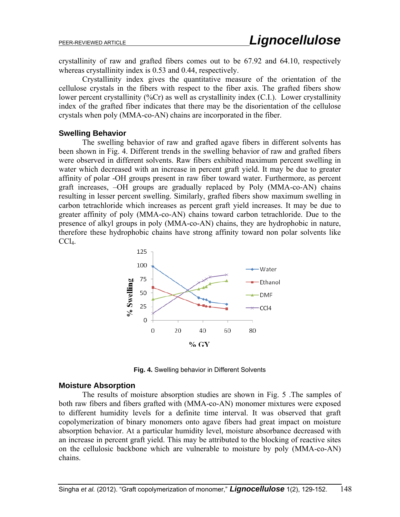crystallinity of raw and grafted fibers comes out to be 67.92 and 64.10, respectively whereas crystallinity index is 0.53 and 0.44, respectively.

Crystallinity index gives the quantitative measure of the orientation of the cellulose crystals in the fibers with respect to the fiber axis. The grafted fibers show lower percent crystallinity (%Cr) as well as crystallinity index (C.I.). Lower crystallinity index of the grafted fiber indicates that there may be the disorientation of the cellulose crystals when poly (MMA-co-AN) chains are incorporated in the fiber.

#### **Swelling Behavior**

The swelling behavior of raw and grafted agave fibers in different solvents has been shown in Fig. 4. Different trends in the swelling behavior of raw and grafted fibers were observed in different solvents. Raw fibers exhibited maximum percent swelling in water which decreased with an increase in percent graft yield. It may be due to greater affinity of polar -OH groups present in raw fiber toward water. Furthermore, as percent graft increases, –OH groups are gradually replaced by Poly (MMA-co-AN) chains resulting in lesser percent swelling. Similarly, grafted fibers show maximum swelling in carbon tetrachloride which increases as percent graft yield increases. It may be due to greater affinity of poly (MMA-co-AN) chains toward carbon tetrachloride. Due to the presence of alkyl groups in poly (MMA-co-AN) chains, they are hydrophobic in nature, therefore these hydrophobic chains have strong affinity toward non polar solvents like  $CCl<sub>4</sub>$ .



**Fig. 4.** Swelling behavior in Different Solvents

#### **Moisture Absorption**

The results of moisture absorption studies are shown in Fig. 5 .The samples of both raw fibers and fibers grafted with (MMA-co-AN) monomer mixtures were exposed to different humidity levels for a definite time interval. It was observed that graft copolymerization of binary monomers onto agave fibers had great impact on moisture absorption behavior. At a particular humidity level, moisture absorbance decreased with an increase in percent graft yield. This may be attributed to the blocking of reactive sites on the cellulosic backbone which are vulnerable to moisture by poly (MMA-co-AN) chains.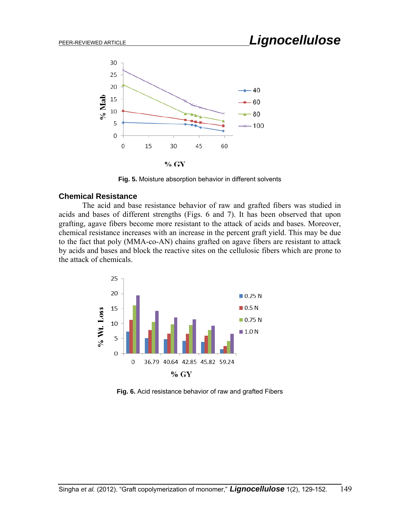

**Fig. 5.** Moisture absorption behavior in different solvents

#### **Chemical Resistance**

The acid and base resistance behavior of raw and grafted fibers was studied in acids and bases of different strengths (Figs. 6 and 7). It has been observed that upon grafting, agave fibers become more resistant to the attack of acids and bases. Moreover, chemical resistance increases with an increase in the percent graft yield. This may be due to the fact that poly (MMA-co-AN) chains grafted on agave fibers are resistant to attack by acids and bases and block the reactive sites on the cellulosic fibers which are prone to the attack of chemicals.



**Fig. 6.** Acid resistance behavior of raw and grafted Fibers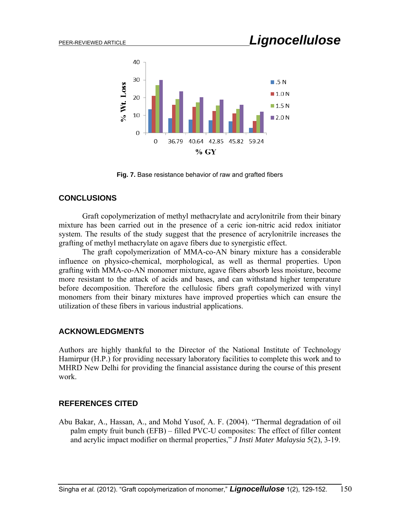

**Fig. 7.** Base resistance behavior of raw and grafted fibers

## **CONCLUSIONS**

Graft copolymerization of methyl methacrylate and acrylonitrile from their binary mixture has been carried out in the presence of a ceric ion-nitric acid redox initiator system. The results of the study suggest that the presence of acrylonitrile increases the grafting of methyl methacrylate on agave fibers due to synergistic effect.

The graft copolymerization of MMA-co-AN binary mixture has a considerable influence on physico-chemical, morphological, as well as thermal properties. Upon grafting with MMA-co-AN monomer mixture, agave fibers absorb less moisture, become more resistant to the attack of acids and bases, and can withstand higher temperature before decomposition. Therefore the cellulosic fibers graft copolymerized with vinyl monomers from their binary mixtures have improved properties which can ensure the utilization of these fibers in various industrial applications.

## **ACKNOWLEDGMENTS**

Authors are highly thankful to the Director of the National Institute of Technology Hamirpur (H.P.) for providing necessary laboratory facilities to complete this work and to MHRD New Delhi for providing the financial assistance during the course of this present work.

## **REFERENCES CITED**

Abu Bakar, A., Hassan, A., and Mohd Yusof, A. F. (2004). "Thermal degradation of oil palm empty fruit bunch (EFB) – filled PVC-U composites: The effect of filler content and acrylic impact modifier on thermal properties," *J Insti Mater Malaysia* 5(2), 3-19.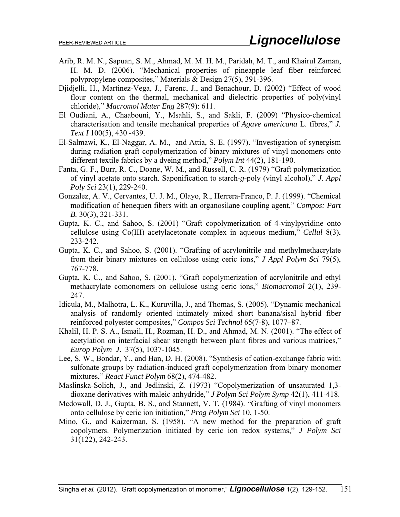- Arib, R. M. N., Sapuan, S. M., Ahmad, M. M. H. M., Paridah, M. T., and Khairul Zaman, H. M. D. (2006). "Mechanical properties of pineapple leaf fiber reinforced polypropylene composites," Materials & Design 27(5), 391-396.
- Djidjelli, H., Martinez-Vega, J., Farenc, J., and Benachour, D. (2002) "Effect of wood flour content on the thermal, mechanical and dielectric properties of poly(vinyl chloride)," *Macromol Mater Eng* 287(9): 611.
- El Oudiani, A., Chaabouni, Y., Msahli, S., and Sakli, F. (2009) "Physico-chemical characterisation and tensile mechanical properties of *Agave americana* L. fibres," *J. Text I* 100(5), 430 -439.
- El-Salmawi, K., El-Naggar, A. M., and Attia, S. E. (1997). "Investigation of synergism during radiation graft copolymerization of binary mixtures of vinyl monomers onto different textile fabrics by a dyeing method," *Polym Int* 44(2), 181-190.
- Fanta, G. F., Burr, R. C., Doane, W. M., and Russell, C. R. (1979) "Graft polymerization of vinyl acetate onto starch. Saponification to starch-*g*-poly (vinyl alcohol)," *J. Appl Poly Sci* 23(1), 229-240.
- Gonzalez, A. V., Cervantes, U. J. M., Olayo, R., Herrera-Franco, P. J. (1999). "Chemical modification of henequen fibers with an organosilane coupling agent," *Compos: Part B.* 30(3), 321-331.
- Gupta, K. C., and Sahoo, S. (2001) "Graft copolymerization of 4-vinylpyridine onto cellulose using Co(III) acetylacetonate complex in aqueous medium," *Cellul* 8(3), 233-242.
- Gupta, K. C., and Sahoo, S. (2001). "Grafting of acrylonitrile and methylmethacrylate from their binary mixtures on cellulose using ceric ions," *J Appl Polym Sci* 79(5), 767-778.
- Gupta, K. C., and Sahoo, S. (2001). "Graft copolymerization of acrylonitrile and ethyl methacrylate comonomers on cellulose using ceric ions," *Biomacromol* 2(1), 239- 247.
- Idicula, M., Malhotra, L. K., Kuruvilla, J., and Thomas, S. (2005). "Dynamic mechanical analysis of randomly oriented intimately mixed short banana/sisal hybrid fiber reinforced polyester composites," *Compos Sci Technol* 65(7-8), 1077–87.
- Khalil, H. P. S. A., Ismail, H., Rozman, H. D., and Ahmad, M. N. (2001). "The effect of acetylation on interfacial shear strength between plant fibres and various matrices," *Europ Polym J*. 37(5), 1037-1045.
- Lee, S. W., Bondar, Y., and Han, D. H. (2008). "Synthesis of cation-exchange fabric with sulfonate groups by radiation-induced graft copolymerization from binary monomer mixtures," *React Funct Polym* 68(2), 474-482.
- Maslinska-Solich, J., and Jedlinski, Z. (1973) "Copolymerization of unsaturated 1,3 dioxane derivatives with maleic anhydride," *J Polym Sci Polym Symp* 42(1), 411-418.
- Mcdowall, D. J., Gupta, B. S., and Stannett, V. T. (1984). "Grafting of vinyl monomers onto cellulose by ceric ion initiation," *Prog Polym Sci* 10, 1-50.
- Mino, G., and Kaizerman, S. (1958). "A new method for the preparation of graft copolymers. Polymerization initiated by ceric ion redox systems," *J Polym Sci* 31(122), 242-243.